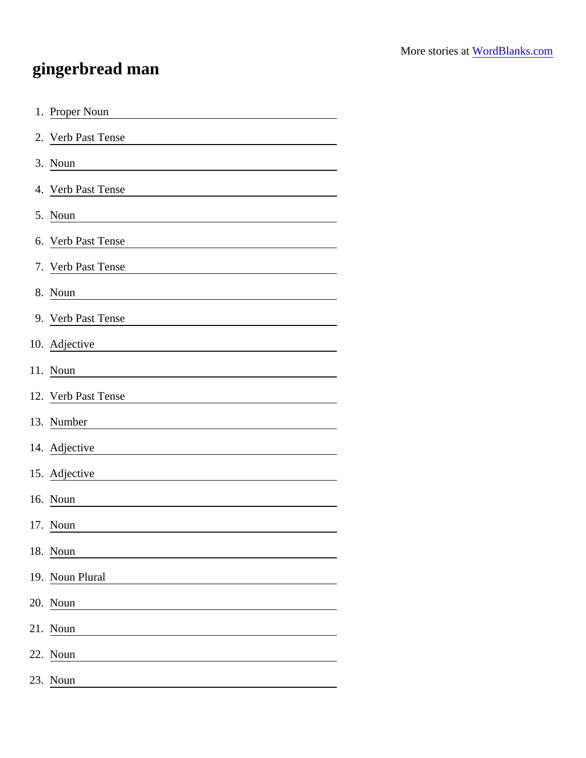## gingerbread man

| 1. Proper Noun                                                     |
|--------------------------------------------------------------------|
| 2. Verb Past Tense                                                 |
| 3. Noun                                                            |
| 4. Verb Past Tense                                                 |
| 5. Noun                                                            |
| 6. Verb Past Tense                                                 |
| 7. Verb Past Tense                                                 |
| 8. Noun                                                            |
| 9. Verb Past Tense                                                 |
| 10. Adjective<br><u> 1989 - Andrea State Barbara, amerikan per</u> |
| 11. Noun                                                           |
| 12. Verb Past Tense                                                |
| 13. Number                                                         |
| 14. Adjective                                                      |
| 15. Adjective                                                      |
| 16. Noun                                                           |
| 17. Noun                                                           |
| 18. Noun                                                           |
| 19. Noun Plural                                                    |
| 20. Noun                                                           |
| 21. Noun                                                           |
| 22. Noun                                                           |
| 23. Noun                                                           |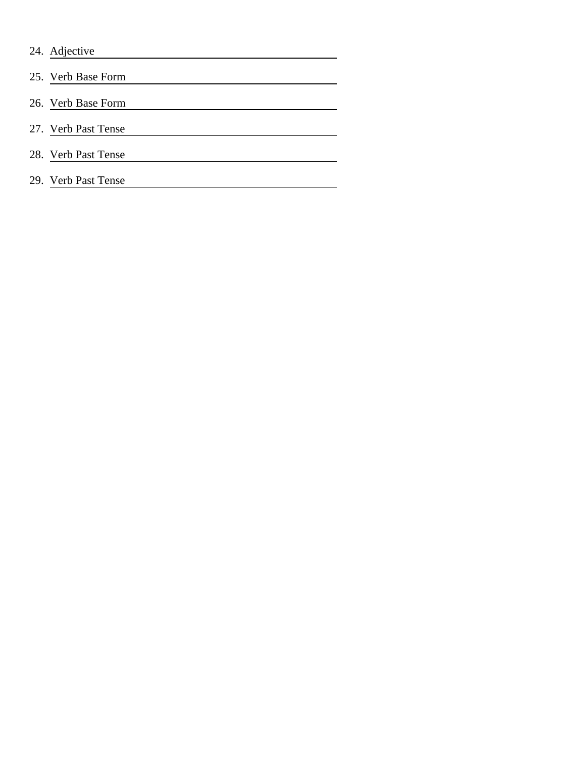| 24.<br>Adjective |  |
|------------------|--|
|------------------|--|

- 25. Verb Base Form
- 26. Verb Base Form
- 27. Verb Past Tense
- 28. Verb Past Tense
- 29. Verb Past Tense